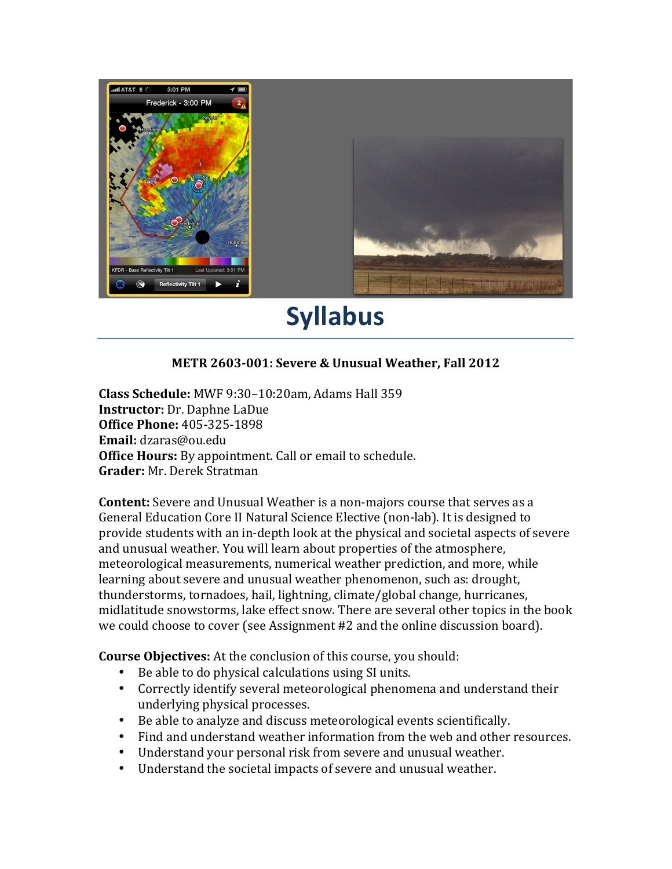

## **Syllabus**

## **METR 2603-001: Severe & Unusual Weather, Fall 2012**

**Class Schedule:** MWF 9:30–10:20am, Adams Hall 359 **Instructor:** Dr. Daphne LaDue **Office Phone:** 405-325-1898 **Email:** dzaras@ou.edu **Office Hours:** By appointment. Call or email to schedule. **Grader:** Mr. Derek Stratman

**Content:** Severe and Unusual Weather is a non-majors course that serves as a General Education Core II Natural Science Elective (non-lab). It is designed to provide students with an in-depth look at the physical and societal aspects of severe and unusual weather. You will learn about properties of the atmosphere, meteorological measurements, numerical weather prediction, and more, while learning about severe and unusual weather phenomenon, such as: drought, thunderstorms, tornadoes, hail, lightning, climate/global change, hurricanes, midlatitude snowstorms, lake effect snow. There are several other topics in the book we could choose to cover (see Assignment #2 and the online discussion board).

**Course Objectives:** At the conclusion of this course, you should:

- Be able to do physical calculations using SI units.
- Correctly identify several meteorological phenomena and understand their underlying physical processes.
- Be able to analyze and discuss meteorological events scientifically.
- Find and understand weather information from the web and other resources.
- Understand your personal risk from severe and unusual weather.
- Understand the societal impacts of severe and unusual weather.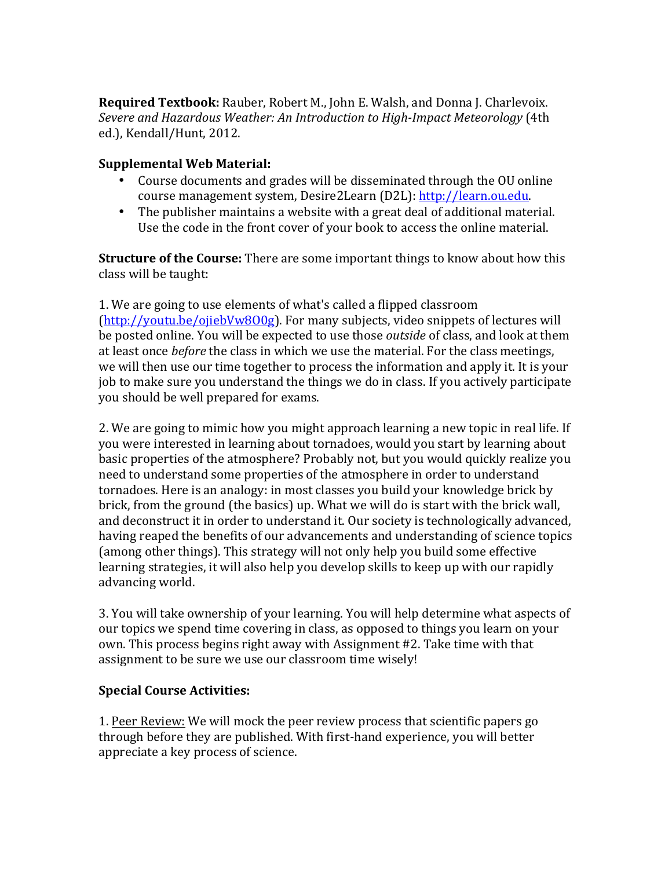**Required Textbook:** Rauber, Robert M., John E. Walsh, and Donna J. Charlevoix. *Severe and Hazardous Weather: An Introduction to High-Impact Meteorology* (4th ed.), Kendall/Hunt, 2012.

## **Supplemental Web Material:**

- Course documents and grades will be disseminated through the OU online course management system, Desire2Learn (D2L): http://learn.ou.edu.
- The publisher maintains a website with a great deal of additional material. Use the code in the front cover of your book to access the online material.

**Structure of the Course:** There are some important things to know about how this class will be taught:

1. We are going to use elements of what's called a flipped classroom  $(http://youtu.be/ojiebVw8O0g)$ . For many subjects, video snippets of lectures will be posted online. You will be expected to use those *outside* of class, and look at them at least once *before* the class in which we use the material. For the class meetings, we will then use our time together to process the information and apply it. It is your job to make sure you understand the things we do in class. If you actively participate you should be well prepared for exams.

2. We are going to mimic how you might approach learning a new topic in real life. If you were interested in learning about tornadoes, would you start by learning about basic properties of the atmosphere? Probably not, but you would quickly realize you need to understand some properties of the atmosphere in order to understand tornadoes. Here is an analogy: in most classes you build your knowledge brick by brick, from the ground (the basics) up. What we will do is start with the brick wall, and deconstruct it in order to understand it. Our society is technologically advanced, having reaped the benefits of our advancements and understanding of science topics (among other things). This strategy will not only help you build some effective learning strategies, it will also help you develop skills to keep up with our rapidly advancing world.

3. You will take ownership of your learning. You will help determine what aspects of our topics we spend time covering in class, as opposed to things you learn on your own. This process begins right away with Assignment #2. Take time with that assignment to be sure we use our classroom time wisely!

## **Special Course Activities:**

1. Peer Review: We will mock the peer review process that scientific papers go through before they are published. With first-hand experience, you will better appreciate a key process of science.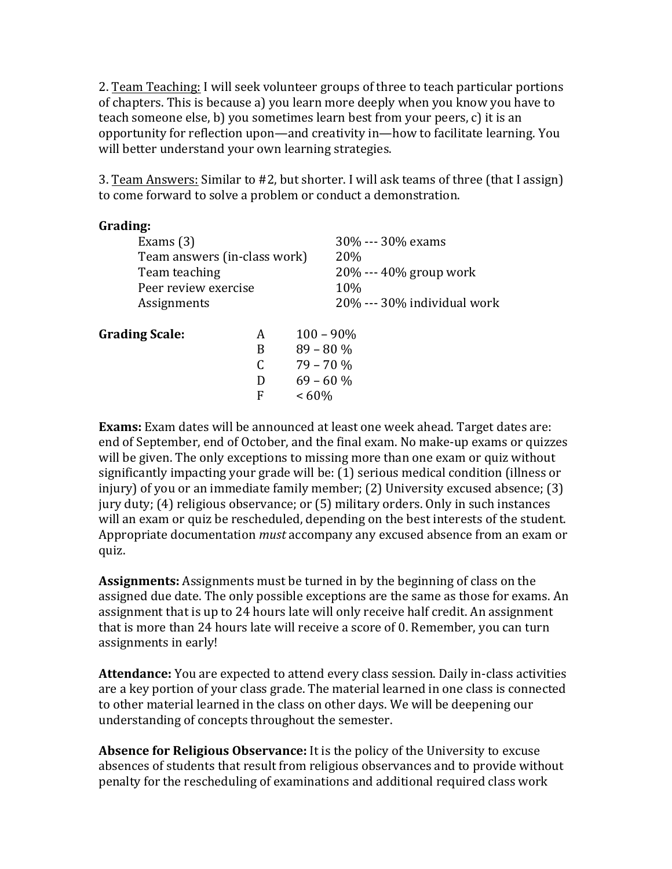2. Team Teaching: I will seek volunteer groups of three to teach particular portions of chapters. This is because a) you learn more deeply when you know you have to teach someone else, b) you sometimes learn best from your peers, c) it is an opportunity for reflection upon—and creativity in—how to facilitate learning. You will better understand your own learning strategies.

3. Team Answers: Similar to #2, but shorter. I will ask teams of three (that I assign) to come forward to solve a problem or conduct a demonstration.

| Grading:                     |                          |                             |
|------------------------------|--------------------------|-----------------------------|
| Exams $(3)$                  | 30% --- 30% exams        |                             |
| Team answers (in-class work) | 20%                      |                             |
| Team teaching                | $20\% - 40\%$ group work |                             |
| Peer review exercise         | 10\%                     |                             |
| Assignments                  |                          | 20% --- 30% individual work |
| <b>Grading Scale:</b>        | A                        | $100 - 90\%$                |
|                              | B                        | $89 - 80\%$                 |
|                              | C                        | $79 - 70%$                  |
|                              | D                        | $69 - 60%$                  |
|                              | F                        | $<60\%$                     |
|                              |                          |                             |

**Exams:** Exam dates will be announced at least one week ahead. Target dates are: end of September, end of October, and the final exam. No make-up exams or quizzes will be given. The only exceptions to missing more than one exam or quiz without significantly impacting your grade will be: (1) serious medical condition (illness or injury) of you or an immediate family member;  $(2)$  University excused absence;  $(3)$ jury duty; (4) religious observance; or (5) military orders. Only in such instances will an exam or quiz be rescheduled, depending on the best interests of the student. Appropriate documentation *must* accompany any excused absence from an exam or quiz.

**Assignments:** Assignments must be turned in by the beginning of class on the assigned due date. The only possible exceptions are the same as those for exams. An assignment that is up to 24 hours late will only receive half credit. An assignment that is more than 24 hours late will receive a score of 0. Remember, you can turn assignments in early!

**Attendance:** You are expected to attend every class session. Daily in-class activities are a key portion of your class grade. The material learned in one class is connected to other material learned in the class on other days. We will be deepening our understanding of concepts throughout the semester.

**Absence for Religious Observance:** It is the policy of the University to excuse absences of students that result from religious observances and to provide without penalty for the rescheduling of examinations and additional required class work